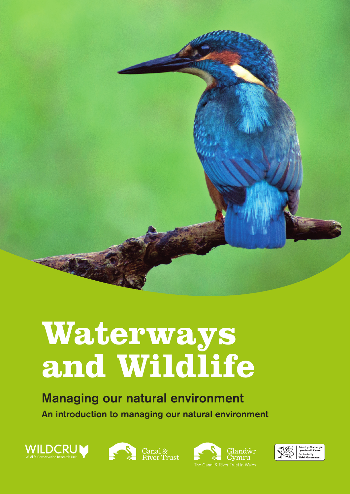

# **Waterways and Wildlife**

# Managing our natural environment An introduction to managing our natural environment







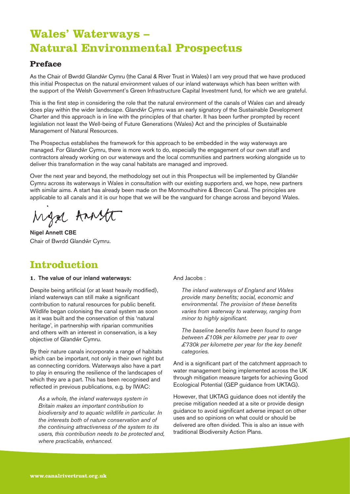## **Wales' Waterways – Natural Environmental Prospectus**

#### **Preface**

As the Chair of Bwrdd Glandŵr Cymru (the Canal & River Trust in Wales) I am very proud that we have produced this initial Prospectus on the natural environment values of our inland waterways which has been written with the support of the Welsh Government's Green Infrastructure Capital Investment fund, for which we are grateful.

This is the first step in considering the role that the natural environment of the canals of Wales can and already does play within the wider landscape. Glandŵr Cymru was an early signatory of the Sustainable Development Charter and this approach is in line with the principles of that charter. It has been further prompted by recent legislation not least the Well-being of Future Generations (Wales) Act and the principles of Sustainable Management of Natural Resources.

The Prospectus establishes the framework for this approach to be embedded in the way waterways are managed. For Glandŵr Cymru, there is more work to do, especially the engagement of our own staff and contractors already working on our waterways and the local communities and partners working alongside us to deliver this transformation in the way canal habitats are managed and improved.

Over the next year and beyond, the methodology set out in this Prospectus will be implemented by Glandŵr Cymru across its waterways in Wales in consultation with our existing supporters and, we hope, new partners with similar aims. A start has already been made on the Monmouthshire & Brecon Canal. The principles are applicable to all canals and it is our hope that we will be the vanguard for change across and beyond Wales.

Mga Annst

Nigel Annett CBE Chair of Bwrdd Glandŵr Cymru.

## **Introduction**

#### **1.** The value of our inland waterways:

Despite being artificial (or at least heavily modified), inland waterways can still make a significant contribution to natural resources for public benefit. Wildlife began colonising the canal system as soon as it was built and the conservation of this 'natural heritage', in partnership with riparian communities and others with an interest in conservation, is a key objective of Glandŵr Cymru.

By their nature canals incorporate a range of habitats which can be important, not only in their own right but as connecting corridors. Waterways also have a part to play in ensuring the resilience of the landscapes of which they are a part. This has been recognised and reflected in previous publications, e.g. by IWAC:

 *As a whole, the inland waterways system in Britain makes an important contribution to biodiversity and to aquatic wildlife in particular. In the interests both of nature conservation and of the continuing attractiveness of the system to its users, this contribution needs to be protected and, where practicable, enhanced.*

And Jacobs :

 *The inland waterways of England and Wales provide many benefits; social, economic and environmental. The provision of these benefits varies from waterway to waterway, ranging from minor to highly significant.*

 *The baseline benefits have been found to range between £109k per kilometre per year to over £730k per kilometre per year for the key benefit categories.*

And is a significant part of the catchment approach to water management being implemented across the UK through mitigation measure targets for achieving Good Ecological Potential (GEP guidance from UKTAG).

However, that UKTAG guidance does not identify the precise mitigation needed at a site or provide design guidance to avoid significant adverse impact on other uses and so opinions on what could or should be delivered are often divided. This is also an issue with traditional Biodiversity Action Plans.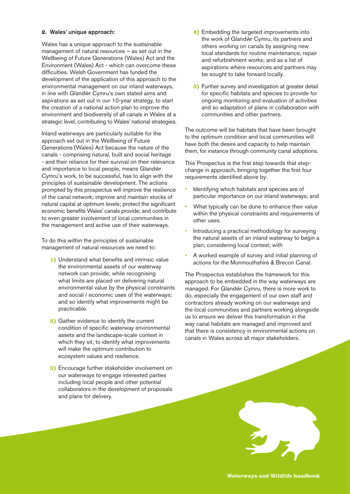#### **2.** Wales' unique approach:

Wales has a unique approach to the sustainable management of natural resources – as set out in the Wellbeing of Future Generations (Wales) Act and the Environment (Wales) Act - which can overcome these difficulties. Welsh Government has funded the development of the application of this approach to the environmental management on our inland waterways, in line with Glandŵr Cymru's own stated aims and aspirations as set out in our 10-year strategy, to start the creation of a national action plan to improve the environment and biodiversity of all canals in Wales at a strategic level, contributing to Wales' national strategies.

Inland waterways are particularly suitable for the approach set out in the Wellbeing of Future Generations (Wales) Act because the nature of the canals - comprising natural, built and social heritage - and their reliance for their survival on their relevance and importance to local people, means Glandŵr Cymru's work, to be successful, has to align with the principles of sustainable development. The actions prompted by this prospectus will improve the resilience of the canal network; improve and maintain stocks of natural capital at optimum levels; protect the significant economic benefits Wales' canals provide; and contribute to even greater involvement of local communities in the management and active use of their waterways.

To do this within the principles of sustainable management of natural resources we need to:

- **1)** Understand what benefits and intrinsic value the environmental assets of our waterway network can provide; while recognising what limits are placed on delivering natural environmental value by the physical constraints and social / economic uses of the waterways; and so identify what improvements might be practicable.
- **2)** Gather evidence to identify the current condition of specific waterway environmental assets and the landscape-scale context in which they sit; to identify what improvements will make the optimum contribution to ecosystem values and resilience.
- **3)** Encourage further stakeholder involvement on our waterways to engage interested parties including local people and other potential collaborators in the development of proposals and plans for delivery.
- **4)** Embedding the targeted improvements into the work of Glandŵr Cymru, its partners and others working on canals by assigning new local standards for routine maintenance, repair and refurbishment works; and as a list of aspirations where resources and partners may be sought to take forward locally.
- **5)** Further survey and investigation at greater detail for specific habitats and species to provide for ongoing monitoring and evaluation of activities and so adaptation of plans in collaboration with communities and other partners.

The outcome will be habitats that have been brought to the optimum condition and local communities will have both the desire and capacity to help maintain them, for instance through community canal adoptions.

This Prospectus is the first step towards that stepchange in approach, bringing together the first four requirements identified above by:

- Identifying which habitats and species are of particular importance on our inland waterways; and
- What typically can be done to enhance their value within the physical constraints and requirements of other uses.
- Introducing a practical methodology for surveying the natural assets of an inland waterway to begin a plan; considering local context; with
- A worked example of survey and initial planning of actions for the Monmouthshire & Brecon Canal.

The Prospectus establishes the framework for this approach to be embedded in the way waterways are managed. For Glandŵr Cymru, there is more work to do, especially the engagement of our own staff and contractors already working on our waterways and the local communities and partners working alongside us to ensure we deliver this transformation in the way canal habitats are managed and improved and that there is consistency in environmental actions on canals in Wales across all major stakeholders.



**Waterways and Wildlife handbook**